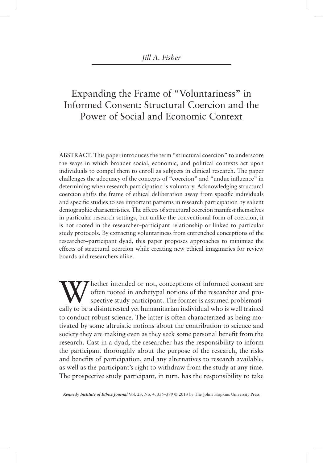# Expanding the Frame of "Voluntariness" in Informed Consent: Structural Coercion and the Power of Social and Economic Context

ABSTRACT. This paper introduces the term "structural coercion" to underscore the ways in which broader social, economic, and political contexts act upon individuals to compel them to enroll as subjects in clinical research. The paper challenges the adequacy of the concepts of "coercion" and "undue influence" in determining when research participation is voluntary. Acknowledging structural coercion shifts the frame of ethical deliberation away from specific individuals and specific studies to see important patterns in research participation by salient demographic characteristics. The effects of structural coercion manifest themselves in particular research settings, but unlike the conventional form of coercion, it is not rooted in the researcher–participant relationship or linked to particular study protocols. By extracting voluntariness from entrenched conceptions of the researcher–participant dyad, this paper proposes approaches to minimize the effects of structural coercion while creating new ethical imaginaries for review boards and researchers alike.

W hether intended or not, conceptions of informed consent are<br>often rooted in archetypal notions of the researcher and pro-<br>spective study participant. The former is assumed problemati-<br>cally to be a disintenated yet human often rooted in archetypal notions of the researcher and prospective study participant. The former is assumed problematically to be a disinterested yet humanitarian individual who is well trained to conduct robust science. The latter is often characterized as being motivated by some altruistic notions about the contribution to science and society they are making even as they seek some personal benefit from the research. Cast in a dyad, the researcher has the responsibility to inform the participant thoroughly about the purpose of the research, the risks and benefits of participation, and any alternatives to research available, as well as the participant's right to withdraw from the study at any time. The prospective study participant, in turn, has the responsibility to take

*Kennedy Institute of Ethics Journal* Vol. 23, No. 4, 355–379 © 2013 by The Johns Hopkins University Press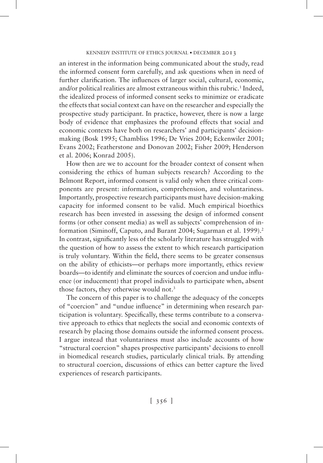an interest in the information being communicated about the study, read the informed consent form carefully, and ask questions when in need of further clarification. The influences of larger social, cultural, economic, and/or political realities are almost extraneous within this rubric.<sup>1</sup> Indeed, the idealized process of informed consent seeks to minimize or eradicate the effects that social context can have on the researcher and especially the prospective study participant. In practice, however, there is now a large body of evidence that emphasizes the profound effects that social and economic contexts have both on researchers' and participants' decisionmaking (Bosk 1995; Chambliss 1996; De Vries 2004; Eckenwiler 2001; Evans 2002; Featherstone and Donovan 2002; Fisher 2009; Henderson et al. 2006; Konrad 2005).

How then are we to account for the broader context of consent when considering the ethics of human subjects research? According to the Belmont Report, informed consent is valid only when three critical components are present: information, comprehension, and voluntariness. Importantly, prospective research participants must have decision-making capacity for informed consent to be valid. Much empirical bioethics research has been invested in assessing the design of informed consent forms (or other consent media) as well as subjects' comprehension of information (Siminoff, Caputo, and Burant 2004; Sugarman et al. 1999).<sup>2</sup> In contrast, significantly less of the scholarly literature has struggled with the question of how to assess the extent to which research participation is truly voluntary. Within the field, there seems to be greater consensus on the ability of ethicists—or perhaps more importantly, ethics review boards—to identify and eliminate the sources of coercion and undue influence (or inducement) that propel individuals to participate when, absent those factors, they otherwise would not.<sup>3</sup>

The concern of this paper is to challenge the adequacy of the concepts of "coercion" and "undue influence" in determining when research participation is voluntary. Specifically, these terms contribute to a conservative approach to ethics that neglects the social and economic contexts of research by placing those domains outside the informed consent process. I argue instead that voluntariness must also include accounts of how "structural coercion" shapes prospective participants' decisions to enroll in biomedical research studies, particularly clinical trials. By attending to structural coercion, discussions of ethics can better capture the lived experiences of research participants.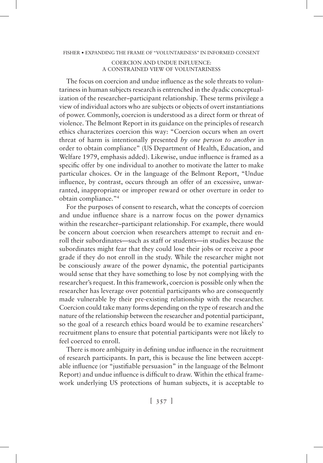COERCION AND UNDUE INFLUENCE: A CONSTRAINED VIEW OF VOLUNTARINESS

The focus on coercion and undue influence as the sole threats to voluntariness in human subjects research is entrenched in the dyadic conceptualization of the researcher–participant relationship. These terms privilege a view of individual actors who are subjects or objects of overt instantiations of power. Commonly, coercion is understood as a direct form or threat of violence. The Belmont Report in its guidance on the principles of research ethics characterizes coercion this way: "Coercion occurs when an overt threat of harm is intentionally presented *by one person to another* in order to obtain compliance" (US Department of Health, Education, and Welfare 1979, emphasis added). Likewise, undue influence is framed as a specific offer by one individual to another to motivate the latter to make particular choices. Or in the language of the Belmont Report, "Undue influence, by contrast, occurs through an offer of an excessive, unwarranted, inappropriate or improper reward or other overture in order to obtain compliance."4

For the purposes of consent to research, what the concepts of coercion and undue influence share is a narrow focus on the power dynamics within the researcher–participant relationship. For example, there would be concern about coercion when researchers attempt to recruit and enroll their subordinates—such as staff or students—in studies because the subordinates might fear that they could lose their jobs or receive a poor grade if they do not enroll in the study. While the researcher might not be consciously aware of the power dynamic, the potential participants would sense that they have something to lose by not complying with the researcher's request. In this framework, coercion is possible only when the researcher has leverage over potential participants who are consequently made vulnerable by their pre-existing relationship with the researcher. Coercion could take many forms depending on the type of research and the nature of the relationship between the researcher and potential participant, so the goal of a research ethics board would be to examine researchers' recruitment plans to ensure that potential participants were not likely to feel coerced to enroll.

There is more ambiguity in defining undue influence in the recruitment of research participants. In part, this is because the line between acceptable influence (or "justifiable persuasion" in the language of the Belmont Report) and undue influence is difficult to draw. Within the ethical framework underlying US protections of human subjects, it is acceptable to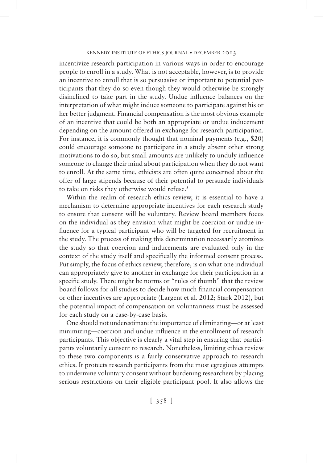incentivize research participation in various ways in order to encourage people to enroll in a study. What is not acceptable, however, is to provide an incentive to enroll that is so persuasive or important to potential participants that they do so even though they would otherwise be strongly disinclined to take part in the study. Undue influence balances on the interpretation of what might induce someone to participate against his or her better judgment. Financial compensation is the most obvious example of an incentive that could be both an appropriate or undue inducement depending on the amount offered in exchange for research participation. For instance, it is commonly thought that nominal payments (e.g., \$20) could encourage someone to participate in a study absent other strong motivations to do so, but small amounts are unlikely to unduly influence someone to change their mind about participation when they do not want to enroll. At the same time, ethicists are often quite concerned about the offer of large stipends because of their potential to persuade individuals to take on risks they otherwise would refuse.<sup>5</sup>

Within the realm of research ethics review, it is essential to have a mechanism to determine appropriate incentives for each research study to ensure that consent will be voluntary. Review board members focus on the individual as they envision what might be coercion or undue influence for a typical participant who will be targeted for recruitment in the study. The process of making this determination necessarily atomizes the study so that coercion and inducements are evaluated only in the context of the study itself and specifically the informed consent process. Put simply, the focus of ethics review, therefore, is on what one individual can appropriately give to another in exchange for their participation in a specific study. There might be norms or "rules of thumb" that the review board follows for all studies to decide how much financial compensation or other incentives are appropriate (Largent et al. 2012; Stark 2012), but the potential impact of compensation on voluntariness must be assessed for each study on a case-by-case basis.

One should not underestimate the importance of eliminating—or at least minimizing—coercion and undue influence in the enrollment of research participants. This objective is clearly a vital step in ensuring that participants voluntarily consent to research. Nonetheless, limiting ethics review to these two components is a fairly conservative approach to research ethics. It protects research participants from the most egregious attempts to undermine voluntary consent without burdening researchers by placing serious restrictions on their eligible participant pool. It also allows the

[ 358 ]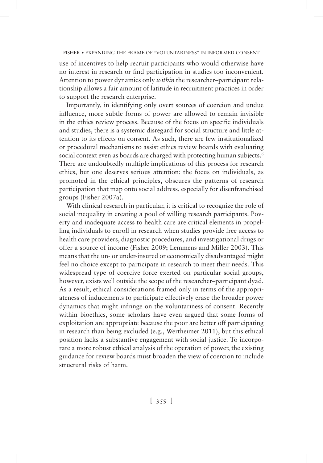use of incentives to help recruit participants who would otherwise have no interest in research or find participation in studies too inconvenient. Attention to power dynamics only *within* the researcher–participant relationship allows a fair amount of latitude in recruitment practices in order to support the research enterprise.

Importantly, in identifying only overt sources of coercion and undue influence, more subtle forms of power are allowed to remain invisible in the ethics review process. Because of the focus on specific individuals and studies, there is a systemic disregard for social structure and little attention to its effects on consent. As such, there are few institutionalized or procedural mechanisms to assist ethics review boards with evaluating social context even as boards are charged with protecting human subjects.<sup>6</sup> There are undoubtedly multiple implications of this process for research ethics, but one deserves serious attention: the focus on individuals, as promoted in the ethical principles, obscures the patterns of research participation that map onto social address, especially for disenfranchised groups (Fisher 2007a).

With clinical research in particular, it is critical to recognize the role of social inequality in creating a pool of willing research participants. Poverty and inadequate access to health care are critical elements in propelling individuals to enroll in research when studies provide free access to health care providers, diagnostic procedures, and investigational drugs or offer a source of income (Fisher 2009; Lemmens and Miller 2003). This means that the un- or under-insured or economically disadvantaged might feel no choice except to participate in research to meet their needs. This widespread type of coercive force exerted on particular social groups, however, exists well outside the scope of the researcher–participant dyad. As a result, ethical considerations framed only in terms of the appropriateness of inducements to participate effectively erase the broader power dynamics that might infringe on the voluntariness of consent. Recently within bioethics, some scholars have even argued that some forms of exploitation are appropriate because the poor are better off participating in research than being excluded (e.g., Wertheimer 2011), but this ethical position lacks a substantive engagement with social justice. To incorporate a more robust ethical analysis of the operation of power, the existing guidance for review boards must broaden the view of coercion to include structural risks of harm.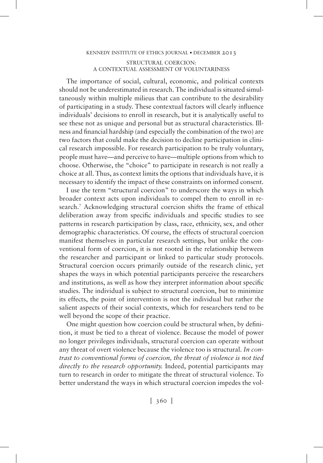# KENNEDY INSTITUTE OF ETHICS JOURNAL . DECEMBER 2013 STRUCTURAL COERCION: A CONTEXTUAL ASSESSMENT OF VOLUNTARINESS

The importance of social, cultural, economic, and political contexts should not be underestimated in research. The individual is situated simultaneously within multiple milieus that can contribute to the desirability of participating in a study. These contextual factors will clearly influence individuals' decisions to enroll in research, but it is analytically useful to see these not as unique and personal but as structural characteristics. Illness and financial hardship (and especially the combination of the two) are two factors that could make the decision to decline participation in clinical research impossible. For research participation to be truly voluntary, people must have—and perceive to have—multiple options from which to choose. Otherwise, the "choice" to participate in research is not really a choice at all. Thus, as context limits the options that individuals have, it is necessary to identify the impact of these constraints on informed consent.

I use the term "structural coercion" to underscore the ways in which broader context acts upon individuals to compel them to enroll in research.<sup>7</sup> Acknowledging structural coercion shifts the frame of ethical deliberation away from specific individuals and specific studies to see patterns in research participation by class, race, ethnicity, sex, and other demographic characteristics. Of course, the effects of structural coercion manifest themselves in particular research settings, but unlike the conventional form of coercion, it is not rooted in the relationship between the researcher and participant or linked to particular study protocols. Structural coercion occurs primarily outside of the research clinic, yet shapes the ways in which potential participants perceive the researchers and institutions, as well as how they interpret information about specific studies. The individual is subject to structural coercion, but to minimize its effects, the point of intervention is not the individual but rather the salient aspects of their social contexts, which for researchers tend to be well beyond the scope of their practice.

One might question how coercion could be structural when, by definition, it must be tied to a threat of violence. Because the model of power no longer privileges individuals, structural coercion can operate without any threat of overt violence because the violence too is structural. *In contrast to conventional forms of coercion, the threat of violence is not tied directly to the research opportunity.* Indeed, potential participants may turn to research in order to mitigate the threat of structural violence. To better understand the ways in which structural coercion impedes the vol-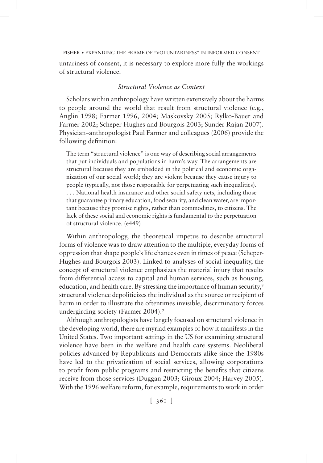untariness of consent, it is necessary to explore more fully the workings of structural violence.

## *Structural Violence as Context*

Scholars within anthropology have written extensively about the harms to people around the world that result from structural violence (e.g., Anglin 1998; Farmer 1996, 2004; Maskovsky 2005; Rylko-Bauer and Farmer 2002; Scheper-Hughes and Bourgois 2003; Sunder Rajan 2007). Physician–anthropologist Paul Farmer and colleagues (2006) provide the following definition:

The term "structural violence" is one way of describing social arrangements that put individuals and populations in harm's way. The arrangements are structural because they are embedded in the political and economic organization of our social world; they are violent because they cause injury to people (typically, not those responsible for perpetuating such inequalities). . . . National health insurance and other social safety nets, including those that guarantee primary education, food security, and clean water, are important because they promise rights, rather than commodities, to citizens. The lack of these social and economic rights is fundamental to the perpetuation of structural violence. (e449)

Within anthropology, the theoretical impetus to describe structural forms of violence was to draw attention to the multiple, everyday forms of oppression that shape people's life chances even in times of peace (Scheper-Hughes and Bourgois 2003). Linked to analyses of social inequality, the concept of structural violence emphasizes the material injury that results from differential access to capital and human services, such as housing, education, and health care. By stressing the importance of human security,<sup>8</sup> structural violence depoliticizes the individual as the source or recipient of harm in order to illustrate the oftentimes invisible, discriminatory forces undergirding society (Farmer 2004).9

Although anthropologists have largely focused on structural violence in the developing world, there are myriad examples of how it manifests in the United States. Two important settings in the US for examining structural violence have been in the welfare and health care systems. Neoliberal policies advanced by Republicans and Democrats alike since the 1980s have led to the privatization of social services, allowing corporations to profit from public programs and restricting the benefits that citizens receive from those services (Duggan 2003; Giroux 2004; Harvey 2005). With the 1996 welfare reform, for example, requirements to work in order

[ 361 ]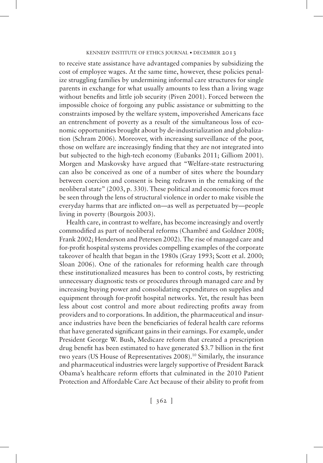to receive state assistance have advantaged companies by subsidizing the cost of employee wages. At the same time, however, these policies penalize struggling families by undermining informal care structures for single parents in exchange for what usually amounts to less than a living wage without benefits and little job security (Piven 2001). Forced between the impossible choice of forgoing any public assistance or submitting to the constraints imposed by the welfare system, impoverished Americans face an entrenchment of poverty as a result of the simultaneous loss of economic opportunities brought about by de-industrialization and globalization (Schram 2006). Moreover, with increasing surveillance of the poor, those on welfare are increasingly finding that they are not integrated into but subjected to the high-tech economy (Eubanks 2011; Gilliom 2001). Morgen and Maskovsky have argued that "Welfare-state restructuring can also be conceived as one of a number of sites where the boundary between coercion and consent is being redrawn in the remaking of the neoliberal state" (2003, p. 330). These political and economic forces must be seen through the lens of structural violence in order to make visible the everyday harms that are inflicted on—as well as perpetuated by—people living in poverty (Bourgois 2003).

Health care, in contrast to welfare, has become increasingly and overtly commodified as part of neoliberal reforms (Chambré and Goldner 2008; Frank 2002; Henderson and Petersen 2002). The rise of managed care and for-profit hospital systems provides compelling examples of the corporate takeover of health that began in the 1980s (Gray 1993; Scott et al. 2000; Sloan 2006). One of the rationales for reforming health care through these institutionalized measures has been to control costs, by restricting unnecessary diagnostic tests or procedures through managed care and by increasing buying power and consolidating expenditures on supplies and equipment through for-profit hospital networks. Yet, the result has been less about cost control and more about redirecting profits away from providers and to corporations. In addition, the pharmaceutical and insurance industries have been the beneficiaries of federal health care reforms that have generated significant gains in their earnings. For example, under President George W. Bush, Medicare reform that created a prescription drug benefit has been estimated to have generated \$3.7 billion in the first two years (US House of Representatives 2008).<sup>10</sup> Similarly, the insurance and pharmaceutical industries were largely supportive of President Barack Obama's healthcare reform efforts that culminated in the 2010 Patient Protection and Affordable Care Act because of their ability to profit from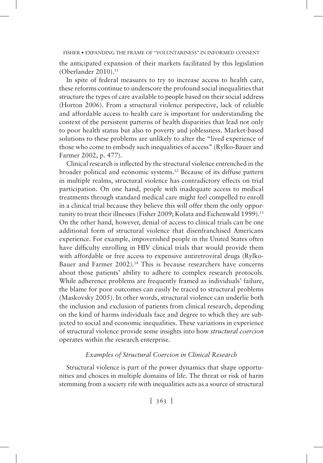the anticipated expansion of their markets facilitated by this legislation (Oberlander 2010).<sup>11</sup>

In spite of federal measures to try to increase access to health care, these reforms continue to underscore the profound social inequalities that structure the types of care available to people based on their social address (Horton 2006). From a structural violence perspective, lack of reliable and affordable access to health care is important for understanding the context of the persistent patterns of health disparities that lead not only to poor health status but also to poverty and joblessness. Market-based solutions to these problems are unlikely to alter the "lived experience of those who come to embody such inequalities of access" (Rylko-Bauer and Farmer 2002, p. 477).

Clinical research is inflected by the structural violence entrenched in the broader political and economic systems.12 Because of its diffuse pattern in multiple realms, structural violence has contradictory effects on trial participation. On one hand, people with inadequate access to medical treatments through standard medical care might feel compelled to enroll in a clinical trial because they believe this will offer them the only opportunity to treat their illnesses (Fisher 2009; Kolata and Eichenwald 1999).<sup>13</sup> On the other hand, however, denial of access to clinical trials can be one additional form of structural violence that disenfranchised Americans experience. For example, impoverished people in the United States often have difficulty enrolling in HIV clinical trials that would provide them with affordable or free access to expensive antiretroviral drugs (Rylko-Bauer and Farmer 2002).<sup>14</sup> This is because researchers have concerns about those patients' ability to adhere to complex research protocols. While adherence problems are frequently framed as individuals' failure, the blame for poor outcomes can easily be traced to structural problems (Maskovsky 2005). In other words, structural violence can underlie both the inclusion and exclusion of patients from clinical research, depending on the kind of harms individuals face and degree to which they are subjected to social and economic inequalities. These variations in experience of structural violence provide some insights into how *structural coercion* operates within the research enterprise.

# *Examples of Structural Coercion in Clinical Research*

Structural violence is part of the power dynamics that shape opportunities and choices in multiple domains of life. The threat or risk of harm stemming from a society rife with inequalities acts as a source of structural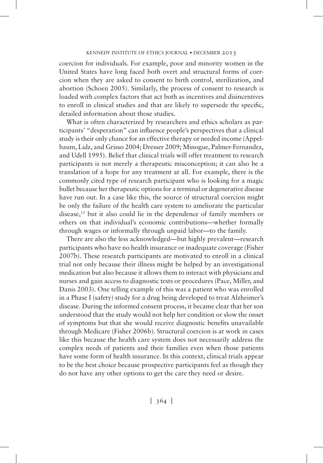coercion for individuals. For example, poor and minority women in the United States have long faced both overt and structural forms of coercion when they are asked to consent to birth control, sterilization, and abortion (Schoen 2005). Similarly, the process of consent to research is loaded with complex factors that act both as incentives and disincentives to enroll in clinical studies and that are likely to supersede the specific, detailed information about those studies.

What is often characterized by researchers and ethics scholars as participants' "desperation" can influence people's perspectives that a clinical study is their only chance for an effective therapy or needed income (Appelbaum, Lidz, and Grisso 2004; Dresser 2009; Minogue, Palmer-Fernandez, and Udell 1995). Belief that clinical trials will offer treatment to research participants is not merely a therapeutic misconception; it can also be a translation of a hope for any treatment at all. For example, there is the commonly cited type of research participant who is looking for a magic bullet because her therapeutic options for a terminal or degenerative disease have run out. In a case like this, the source of structural coercion might be only the failure of the health care system to ameliorate the particular disease,15 but it also could lie in the dependence of family members or others on that individual's economic contributions—whether formally through wages or informally through unpaid labor—to the family.

There are also the less acknowledged—but highly prevalent—research participants who have no health insurance or inadequate coverage (Fisher 2007b). These research participants are motivated to enroll in a clinical trial not only because their illness might be helped by an investigational medication but also because it allows them to interact with physicians and nurses and gain access to diagnostic tests or procedures (Pace, Miller, and Danis 2003). One telling example of this was a patient who was enrolled in a Phase I (safety) study for a drug being developed to treat Alzheimer's disease. During the informed consent process, it became clear that her son understood that the study would not help her condition or slow the onset of symptoms but that she would receive diagnostic benefits unavailable through Medicare (Fisher 2006b). Structural coercion is at work in cases like this because the health care system does not necessarily address the complex needs of patients and their families even when those patients have some form of health insurance. In this context, clinical trials appear to be the best choice because prospective participants feel as though they do not have any other options to get the care they need or desire.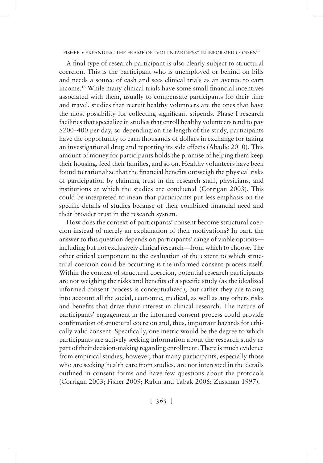A final type of research participant is also clearly subject to structural coercion. This is the participant who is unemployed or behind on bills and needs a source of cash and sees clinical trials as an avenue to earn income.16 While many clinical trials have some small financial incentives associated with them, usually to compensate participants for their time and travel, studies that recruit healthy volunteers are the ones that have the most possibility for collecting significant stipends. Phase I research facilities that specialize in studies that enroll healthy volunteers tend to pay \$200–400 per day, so depending on the length of the study, participants have the opportunity to earn thousands of dollars in exchange for taking an investigational drug and reporting its side effects (Abadie 2010). This amount of money for participants holds the promise of helping them keep their housing, feed their families, and so on. Healthy volunteers have been found to rationalize that the financial benefits outweigh the physical risks of participation by claiming trust in the research staff, physicians, and institutions at which the studies are conducted (Corrigan 2003). This could be interpreted to mean that participants put less emphasis on the specific details of studies because of their combined financial need and their broader trust in the research system.

How does the context of participants' consent become structural coercion instead of merely an explanation of their motivations? In part, the answer to this question depends on participants' range of viable options including but not exclusively clinical research—from which to choose. The other critical component to the evaluation of the extent to which structural coercion could be occurring is the informed consent process itself. Within the context of structural coercion, potential research participants are not weighing the risks and benefits of a specific study (as the idealized informed consent process is conceptualized), but rather they are taking into account all the social, economic, medical, as well as any others risks and benefits that drive their interest in clinical research. The nature of participants' engagement in the informed consent process could provide confirmation of structural coercion and, thus, important hazards for ethically valid consent. Specifically, one metric would be the degree to which participants are actively seeking information about the research study as part of their decision-making regarding enrollment. There is much evidence from empirical studies, however, that many participants, especially those who are seeking health care from studies, are not interested in the details outlined in consent forms and have few questions about the protocols (Corrigan 2003; Fisher 2009; Rabin and Tabak 2006; Zussman 1997).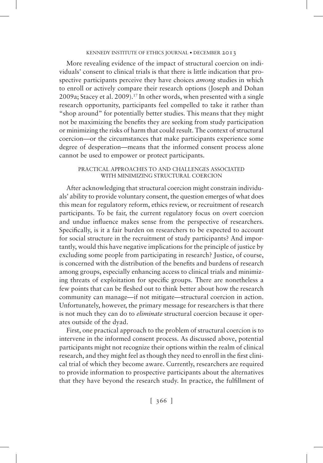More revealing evidence of the impact of structural coercion on individuals' consent to clinical trials is that there is little indication that prospective participants perceive they have choices *among* studies in which to enroll or actively compare their research options (Joseph and Dohan 2009a; Stacey et al. 2009).17 In other words, when presented with a single research opportunity, participants feel compelled to take it rather than "shop around" for potentially better studies. This means that they might not be maximizing the benefits they are seeking from study participation or minimizing the risks of harm that could result. The context of structural coercion—or the circumstances that make participants experience some degree of desperation—means that the informed consent process alone cannot be used to empower or protect participants.

### PRACTICAL APPROACHES TO AND CHALLENGES ASSOCIATED WITH MINIMIZING STRUCTURAL COERCION

After acknowledging that structural coercion might constrain individuals' ability to provide voluntary consent, the question emerges of what does this mean for regulatory reform, ethics review, or recruitment of research participants. To be fair, the current regulatory focus on overt coercion and undue influence makes sense from the perspective of researchers. Specifically, is it a fair burden on researchers to be expected to account for social structure in the recruitment of study participants? And importantly, would this have negative implications for the principle of justice by excluding some people from participating in research? Justice, of course, is concerned with the distribution of the benefits and burdens of research among groups, especially enhancing access to clinical trials and minimizing threats of exploitation for specific groups. There are nonetheless a few points that can be fleshed out to think better about how the research community can manage—if not mitigate—structural coercion in action. Unfortunately, however, the primary message for researchers is that there is not much they can do to *eliminate* structural coercion because it operates outside of the dyad.

First, one practical approach to the problem of structural coercion is to intervene in the informed consent process. As discussed above, potential participants might not recognize their options within the realm of clinical research, and they might feel as though they need to enroll in the first clinical trial of which they become aware. Currently, researchers are required to provide information to prospective participants about the alternatives that they have beyond the research study. In practice, the fulfillment of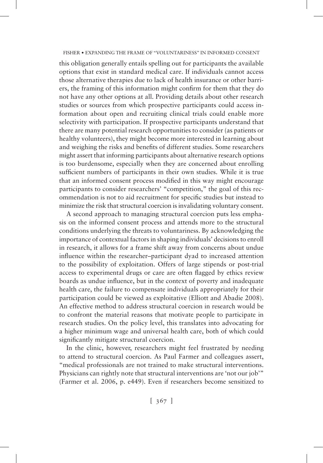this obligation generally entails spelling out for participants the available options that exist in standard medical care. If individuals cannot access those alternative therapies due to lack of health insurance or other barriers, the framing of this information might confirm for them that they do not have any other options at all. Providing details about other research studies or sources from which prospective participants could access information about open and recruiting clinical trials could enable more selectivity with participation. If prospective participants understand that there are many potential research opportunities to consider (as patients or healthy volunteers), they might become more interested in learning about and weighing the risks and benefits of different studies. Some researchers might assert that informing participants about alternative research options is too burdensome, especially when they are concerned about enrolling sufficient numbers of participants in their own studies. While it is true that an informed consent process modified in this way might encourage participants to consider researchers' "competition," the goal of this recommendation is not to aid recruitment for specific studies but instead to minimize the risk that structural coercion is invalidating voluntary consent.

A second approach to managing structural coercion puts less emphasis on the informed consent process and attends more to the structural conditions underlying the threats to voluntariness. By acknowledging the importance of contextual factors in shaping individuals' decisions to enroll in research, it allows for a frame shift away from concerns about undue influence within the researcher–participant dyad to increased attention to the possibility of exploitation. Offers of large stipends or post-trial access to experimental drugs or care are often flagged by ethics review boards as undue influence, but in the context of poverty and inadequate health care, the failure to compensate individuals appropriately for their participation could be viewed as exploitative (Elliott and Abadie 2008). An effective method to address structural coercion in research would be to confront the material reasons that motivate people to participate in research studies. On the policy level, this translates into advocating for a higher minimum wage and universal health care, both of which could significantly mitigate structural coercion.

In the clinic, however, researchers might feel frustrated by needing to attend to structural coercion. As Paul Farmer and colleagues assert, "medical professionals are not trained to make structural interventions. Physicians can rightly note that structural interventions are 'not our job'" (Farmer et al. 2006, p. e449). Even if researchers become sensitized to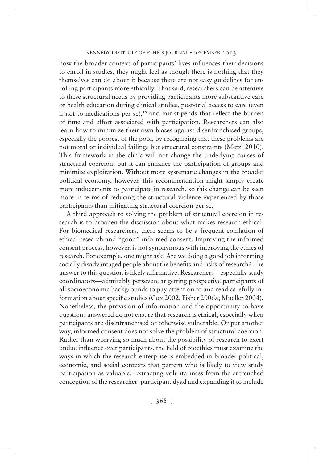how the broader context of participants' lives influences their decisions to enroll in studies, they might feel as though there is nothing that they themselves can do about it because there are not easy guidelines for enrolling participants more ethically. That said, researchers can be attentive to these structural needs by providing participants more substantive care or health education during clinical studies, post-trial access to care (even if not to medications per se),<sup>18</sup> and fair stipends that reflect the burden of time and effort associated with participation. Researchers can also learn how to minimize their own biases against disenfranchised groups, especially the poorest of the poor, by recognizing that these problems are not moral or individual failings but structural constraints (Metzl 2010). This framework in the clinic will not change the underlying causes of structural coercion, but it can enhance the participation of groups and minimize exploitation. Without more systematic changes in the broader political economy, however, this recommendation might simply create more inducements to participate in research, so this change can be seen more in terms of reducing the structural violence experienced by those participants than mitigating structural coercion per se.

A third approach to solving the problem of structural coercion in research is to broaden the discussion about what makes research ethical. For biomedical researchers, there seems to be a frequent conflation of ethical research and "good" informed consent. Improving the informed consent process, however, is not synonymous with improving the ethics of research. For example, one might ask: Are we doing a good job informing socially disadvantaged people about the benefits and risks of research? The answer to this question is likely affirmative. Researchers—especially study coordinators—admirably persevere at getting prospective participants of all socioeconomic backgrounds to pay attention to and read carefully information about specific studies (Cox 2002; Fisher 2006a; Mueller 2004). Nonetheless, the provision of information and the opportunity to have questions answered do not ensure that research is ethical, especially when participants are disenfranchised or otherwise vulnerable. Or put another way, informed consent does not solve the problem of structural coercion. Rather than worrying so much about the possibility of research to exert undue influence over participants, the field of bioethics must examine the ways in which the research enterprise is embedded in broader political, economic, and social contexts that pattern who is likely to view study participation as valuable. Extracting voluntariness from the entrenched conception of the researcher–participant dyad and expanding it to include

[ 368 ]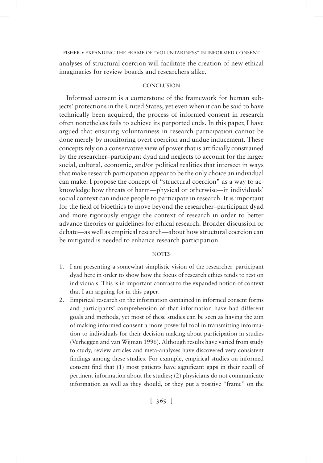analyses of structural coercion will facilitate the creation of new ethical imaginaries for review boards and researchers alike.

# **CONCLUSION**

Informed consent is a cornerstone of the framework for human subjects' protections in the United States, yet even when it can be said to have technically been acquired, the process of informed consent in research often nonetheless fails to achieve its purported ends. In this paper, I have argued that ensuring voluntariness in research participation cannot be done merely by monitoring overt coercion and undue inducement. These concepts rely on a conservative view of power that is artificially constrained by the researcher–participant dyad and neglects to account for the larger social, cultural, economic, and/or political realities that intersect in ways that make research participation appear to be the only choice an individual can make. I propose the concept of "structural coercion" as a way to acknowledge how threats of harm—physical or otherwise—in individuals' social context can induce people to participate in research. It is important for the field of bioethics to move beyond the researcher–participant dyad and more rigorously engage the context of research in order to better advance theories or guidelines for ethical research. Broader discussion or debate—as well as empirical research—about how structural coercion can be mitigated is needed to enhance research participation.

## **NOTES**

- 1. I am presenting a somewhat simplistic vision of the researcher–participant dyad here in order to show how the focus of research ethics tends to rest on individuals. This is in important contrast to the expanded notion of context that I am arguing for in this paper.
- 2. Empirical research on the information contained in informed consent forms and participants' comprehension of that information have had different goals and methods, yet most of these studies can be seen as having the aim of making informed consent a more powerful tool in transmitting information to individuals for their decision-making about participation in studies (Verheggen and van Wijman 1996). Although results have varied from study to study, review articles and meta-analyses have discovered very consistent findings among these studies. For example, empirical studies on informed consent find that (1) most patients have significant gaps in their recall of pertinent information about the studies; (2) physicians do not communicate information as well as they should, or they put a positive "frame" on the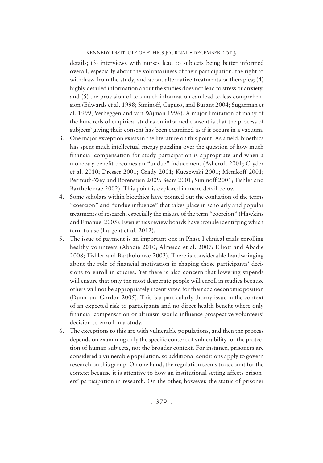details; (3) interviews with nurses lead to subjects being better informed overall, especially about the voluntariness of their participation, the right to withdraw from the study, and about alternative treatments or therapies; (4) highly detailed information about the studies does not lead to stress or anxiety, and (5) the provision of too much information can lead to less comprehension (Edwards et al. 1998; Siminoff, Caputo, and Burant 2004; Sugarman et al. 1999; Verheggen and van Wijman 1996). A major limitation of many of the hundreds of empirical studies on informed consent is that the process of subjects' giving their consent has been examined as if it occurs in a vacuum.

- 3. One major exception exists in the literature on this point. As a field, bioethics has spent much intellectual energy puzzling over the question of how much financial compensation for study participation is appropriate and when a monetary benefit becomes an "undue" inducement (Ashcroft 2001; Cryder et al. 2010; Dresser 2001; Grady 2001; Kuczewski 2001; Menikoff 2001; Permuth-Wey and Borenstein 2009; Sears 2001; Siminoff 2001; Tishler and Bartholomae 2002). This point is explored in more detail below.
- 4. Some scholars within bioethics have pointed out the conflation of the terms "coercion" and "undue influence" that takes place in scholarly and popular treatments of research, especially the misuse of the term "coercion" (Hawkins and Emanuel 2005). Even ethics review boards have trouble identifying which term to use (Largent et al. 2012).
- 5. The issue of payment is an important one in Phase I clinical trials enrolling healthy volunteers (Abadie 2010; Almeida et al. 2007; Elliott and Abadie 2008; Tishler and Bartholomae 2003). There is considerable handwringing about the role of financial motivation in shaping those participants' decisions to enroll in studies. Yet there is also concern that lowering stipends will ensure that only the most desperate people will enroll in studies because others will not be appropriately incentivized for their socioeconomic position (Dunn and Gordon 2005). This is a particularly thorny issue in the context of an expected risk to participants and no direct health benefit where only financial compensation or altruism would influence prospective volunteers' decision to enroll in a study.
- 6. The exceptions to this are with vulnerable populations, and then the process depends on examining only the specific context of vulnerability for the protection of human subjects, not the broader context. For instance, prisoners are considered a vulnerable population, so additional conditions apply to govern research on this group. On one hand, the regulation seems to account for the context because it is attentive to how an institutional setting affects prisoners' participation in research. On the other, however, the status of prisoner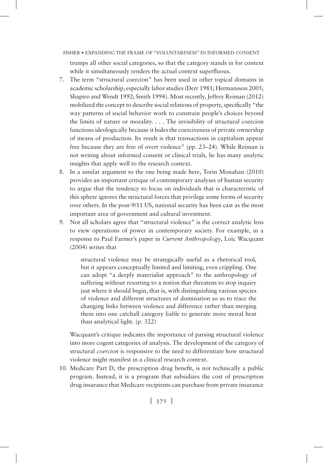trumps all other social categories, so that the category stands in for context while it simultaneously renders the actual context superfluous.

- 7. The term "structural coercion" has been used in other topical domains in academic scholarship, especially labor studies (Derr 1981; Hermansson 2005; Shapiro and Wendt 1992; Smith 1994). Most recently, Jeffrey Reiman (2012) mobilized the concept to describe social relations of property, specifically "the way patterns of social behavior work to constrain people's choices beyond the limits of nature or morality. . . . The invisibility of structural coercion functions ideologically because it hides the coerciveness of private ownership of means of production. Its result is that transactions in capitalism appear free because they are free of overt violence" (pp. 23–24). While Reiman is not writing about informed consent or clinical trials, he has many analytic insights that apply well to the research context.
- 8. In a similar argument to the one being made here, Torin Monahan (2010) provides an important critique of contemporary analyses of human security to argue that the tendency to focus on individuals that is characteristic of this sphere ignores the structural forces that privilege some forms of security over others. In the post-9/11 US, national security has been cast as the most important area of government and cultural investment.
- 9. Not all scholars agree that "structural violence" is the correct analytic lens to view operations of power in contemporary society. For example, in a response to Paul Farmer's paper in *Current Anthropology*, Loïc Wacquant (2004) writes that

structural violence may be strategically useful as a rhetorical tool, but it appears conceptually limited and limiting, even crippling. One can adopt "a deeply materialist approach" to the anthropology of suffering without resorting to a notion that threatens to stop inquiry just where it should begin, that is, with distinguishing various species of violence and different structures of domination so as to trace the changing links between violence and difference rather than merging them into one catchall category liable to generate more moral heat than analytical light. (p. 322)

Wacquant's critique indicates the importance of parsing structural violence into more cogent categories of analysis. The development of the category of structural *coercion* is responsive to the need to differentiate how structural violence might manifest in a clinical research context.

10. Medicare Part D, the prescription drug benefit, is not technically a public program. Instead, it is a program that subsidizes the cost of prescription drug insurance that Medicare recipients can purchase from private insurance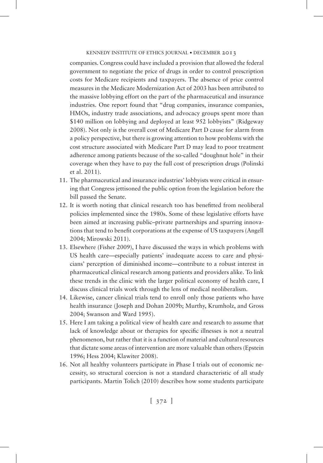companies. Congress could have included a provision that allowed the federal government to negotiate the price of drugs in order to control prescription costs for Medicare recipients and taxpayers. The absence of price control measures in the Medicare Modernization Act of 2003 has been attributed to the massive lobbying effort on the part of the pharmaceutical and insurance industries. One report found that "drug companies, insurance companies, HMOs, industry trade associations, and advocacy groups spent more than \$140 million on lobbying and deployed at least 952 lobbyists" (Ridgeway 2008). Not only is the overall cost of Medicare Part D cause for alarm from a policy perspective, but there is growing attention to how problems with the cost structure associated with Medicare Part D may lead to poor treatment adherence among patients because of the so-called "doughnut hole" in their coverage when they have to pay the full cost of prescription drugs (Polinski et al. 2011).

- 11. The pharmaceutical and insurance industries' lobbyists were critical in ensuring that Congress jettisoned the public option from the legislation before the bill passed the Senate.
- 12. It is worth noting that clinical research too has benefitted from neoliberal policies implemented since the 1980s. Some of these legislative efforts have been aimed at increasing public–private partnerships and spurring innovations that tend to benefit corporations at the expense of US taxpayers (Angell 2004; Mirowski 2011).
- 13. Elsewhere (Fisher 2009), I have discussed the ways in which problems with US health care—especially patients' inadequate access to care and physicians' perception of diminished income—contribute to a robust interest in pharmaceutical clinical research among patients and providers alike. To link these trends in the clinic with the larger political economy of health care, I discuss clinical trials work through the lens of medical neoliberalism.
- 14. Likewise, cancer clinical trials tend to enroll only those patients who have health insurance (Joseph and Dohan 2009b; Murthy, Krumholz, and Gross 2004; Swanson and Ward 1995).
- 15. Here I am taking a political view of health care and research to assume that lack of knowledge about or therapies for specific illnesses is not a neutral phenomenon, but rather that it is a function of material and cultural resources that dictate some areas of intervention are more valuable than others (Epstein 1996; Hess 2004; Klawiter 2008).
- 16. Not all healthy volunteers participate in Phase I trials out of economic necessity, so structural coercion is not a standard characteristic of all study participants. Martin Tolich (2010) describes how some students participate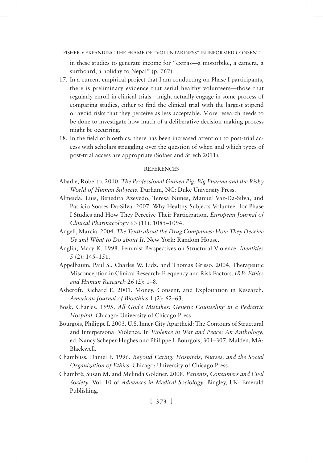in these studies to generate income for "extras—a motorbike, a camera, a surfboard, a holiday to Nepal" (p. 767).

- 17. In a current empirical project that I am conducting on Phase I participants, there is preliminary evidence that serial healthy volunteers—those that regularly enroll in clinical trials—might actually engage in some process of comparing studies, either to find the clinical trial with the largest stipend or avoid risks that they perceive as less acceptable. More research needs to be done to investigate how much of a deliberative decision-making process might be occurring.
- 18. In the field of bioethics, there has been increased attention to post-trial access with scholars struggling over the question of when and which types of post-trial access are appropriate (Sofaer and Strech 2011).

#### **REFERENCES**

- Abadie, Roberto. 2010. *The Professional Guinea Pig: Big Pharma and the Risky World of Human Subjects*. Durham, NC: Duke University Press.
- Almeida, Luis, Benedita Azevedo, Teresa Nunes, Manuel Vaz-Da-Silva, and Patricio Soares-Da-Silva. 2007. Why Healthy Subjects Volunteer for Phase I Studies and How They Perceive Their Participation. *European Journal of Clinical Pharmacology* 63 (11): 1085–1094.
- Angell, Marcia. 2004. *The Truth about the Drug Companies: How They Deceive Us and What to Do about It*. New York: Random House.
- Anglin, Mary K. 1998. Feminist Perspectives on Structural Violence. *Identities* 5 (2): 145–151.
- Appelbaum, Paul S., Charles W. Lidz, and Thomas Grisso. 2004. Therapeutic Misconception in Clinical Research: Frequency and Risk Factors. *IRB: Ethics and Human Research* 26 (2): 1–8.
- Ashcroft, Richard E. 2001. Money, Consent, and Exploitation in Research. *American Journal of Bioethics* 1 (2): 62–63.
- Bosk, Charles. 1995. *All God's Mistakes: Genetic Counseling in a Pediatric Hospital*. Chicago: University of Chicago Press.
- Bourgois, Philippe I. 2003. U.S. Inner-City Apartheid: The Contours of Structural and Interpersonal Violence. In *Violence in War and Peace: An Anthology*, ed. Nancy Scheper-Hughes and Philippe I. Bourgois, 301–307. Malden, MA: Blackwell.
- Chambliss, Daniel F. 1996. *Beyond Caring: Hospitals, Nurses, and the Social Organization of Ethics*. Chicago: University of Chicago Press.
- Chambré, Susan M. and Melinda Goldner. 2008. *Patients, Consumers and Civil Society*. Vol. 10 of *Advances in Medical Sociology*. Bingley, UK: Emerald Publishing.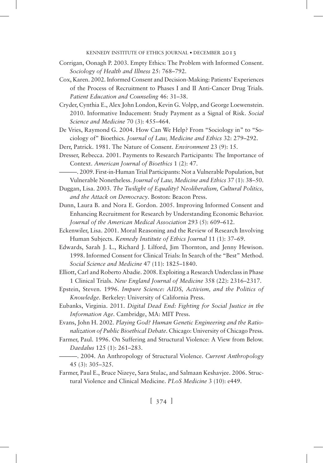- Corrigan, Oonagh P. 2003. Empty Ethics: The Problem with Informed Consent. *Sociology of Health and Illness* 25: 768–792.
- Cox, Karen. 2002. Informed Consent and Decision-Making: Patients' Experiences of the Process of Recruitment to Phases I and II Anti-Cancer Drug Trials. *Patient Education and Counseling* 46: 31–38.
- Cryder, Cynthia E., Alex John London, Kevin G. Volpp, and George Loewenstein. 2010. Informative Inducement: Study Payment as a Signal of Risk. *Social Science and Medicine* 70 (3): 455–464.
- De Vries, Raymond G. 2004. How Can We Help? From "Sociology in" to "Sociology of" Bioethics. *Journal of Law, Medicine and Ethics* 32: 279–292.
- Derr, Patrick. 1981. The Nature of Consent. *Environment* 23 (9): 15.
- Dresser, Rebecca. 2001. Payments to Research Participants: The Importance of Context. *American Journal of Bioethics* 1 (2): 47.
	- ———. 2009. First-in-Human Trial Participants: Not a Vulnerable Population, but Vulnerable Nonetheless. *Journal of Law, Medicine and Ethics* 37 (1): 38–50.
- Duggan, Lisa. 2003. *The Twilight of Equality? Neoliberalism, Cultural Politics, and the Attack on Democracy*. Boston: Beacon Press.
- Dunn, Laura B. and Nora E. Gordon. 2005. Improving Informed Consent and Enhancing Recruitment for Research by Understanding Economic Behavior. *Journal of the American Medical Association* 293 (5): 609–612.
- Eckenwiler, Lisa. 2001. Moral Reasoning and the Review of Research Involving Human Subjects. *Kennedy Institute of Ethics Journal* 11 (1): 37–69.
- Edwards, Sarah J. L., Richard J. Lilford, Jim Thornton, and Jenny Hewison. 1998. Informed Consent for Clinical Trials: In Search of the "Best" Method. *Social Science and Medicine* 47 (11): 1825–1840.
- Elliott, Carl and Roberto Abadie. 2008. Exploiting a Research Underclass in Phase 1 Clinical Trials. *New England Journal of Medicine* 358 (22): 2316–2317.
- Epstein, Steven. 1996. *Impure Science: AIDS, Activism, and the Politics of Knowledge*. Berkeley: University of California Press.
- Eubanks, Virginia. 2011. *Digital Dead End: Fighting for Social Justice in the Information Age*. Cambridge, MA: MIT Press.
- Evans, John H. 2002. *Playing God? Human Genetic Engineering and the Rationalization of Public Bioethical Debate*. Chicago: University of Chicago Press.
- Farmer, Paul. 1996. On Suffering and Structural Violence: A View from Below. *Daedalus* 125 (1): 261–283.
	- ———. 2004. An Anthropology of Structural Violence. *Current Anthropology* 45 (3): 305–325.
- Farmer, Paul E., Bruce Nizeye, Sara Stulac, and Salmaan Keshavjee. 2006. Structural Violence and Clinical Medicine. *PLoS Medicine* 3 (10): e449.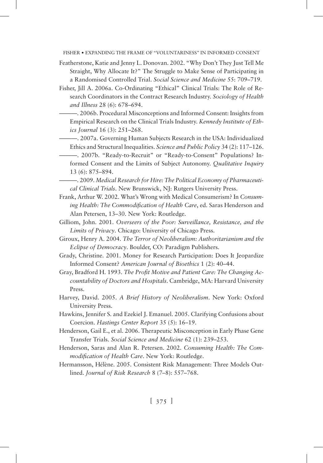- Featherstone, Katie and Jenny L. Donovan. 2002. "Why Don't They Just Tell Me Straight, Why Allocate It?" The Struggle to Make Sense of Participating in a Randomised Controlled Trial. *Social Science and Medicine* 55: 709–719.
- Fisher, Jill A. 2006a. Co-Ordinating "Ethical" Clinical Trials: The Role of Research Coordinators in the Contract Research Industry. *Sociology of Health and Illness* 28 (6): 678–694.
	- ———. 2006b. Procedural Misconceptions and Informed Consent: Insights from Empirical Research on the Clinical Trials Industry. *Kennedy Institute of Ethics Journal* 16 (3): 251–268.
	- ———. 2007a. Governing Human Subjects Research in the USA: Individualized Ethics and Structural Inequalities. *Science and Public Policy* 34 (2): 117–126.

———. 2007b. "Ready-to-Recruit" or "Ready-to-Consent" Populations? Informed Consent and the Limits of Subject Autonomy. *Qualitative Inquiry* 13 (6): 875–894.

———. 2009. *Medical Research for Hire: The Political Economy of Pharmaceutical Clinical Trials*. New Brunswick, NJ: Rutgers University Press.

- Frank, Arthur W. 2002. What's Wrong with Medical Consumerism? In *Consuming Health: The Commodification of Health Care*, ed. Saras Henderson and Alan Petersen, 13–30. New York: Routledge.
- Gilliom, John. 2001. *Overseers of the Poor: Surveillance, Resistance, and the Limits of Privacy*. Chicago: University of Chicago Press.
- Giroux, Henry A. 2004. *The Terror of Neoliberalism: Authoritarianism and the Eclipse of Democracy*. Boulder, CO: Paradigm Publishers.
- Grady, Christine. 2001. Money for Research Participation: Does It Jeopardize Informed Consent? *American Journal of Bioethics* 1 (2): 40–44.
- Gray, Bradford H. 1993. *The Profit Motive and Patient Care: The Changing Accountability of Doctors and Hospitals*. Cambridge, MA: Harvard University Press.
- Harvey, David. 2005. *A Brief History of Neoliberalism*. New York: Oxford University Press.
- Hawkins, Jennifer S. and Ezekiel J. Emanuel. 2005. Clarifying Confusions about Coercion. *Hastings Center Report* 35 (5): 16–19.
- Henderson, Gail E., et al. 2006. Therapeutic Misconception in Early Phase Gene Transfer Trials. *Social Science and Medicine* 62 (1): 239–253.
- Henderson, Saras and Alan R. Petersen. 2002. *Consuming Health: The Commodification of Health Care*. New York: Routledge.
- Hermansson, Hélène. 2005. Consistent Risk Management: Three Models Outlined. *Journal of Risk Research* 8 (7–8): 557–768.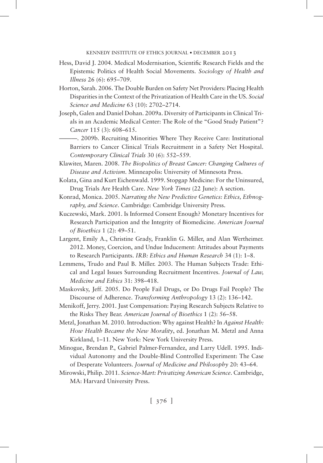- Hess, David J. 2004. Medical Modernisation, Scientific Research Fields and the Epistemic Politics of Health Social Movements. *Sociology of Health and Illness* 26 (6): 695–709.
- Horton, Sarah. 2006. The Double Burden on Safety Net Providers: Placing Health Disparities in the Context of the Privatization of Health Care in the US. *Social Science and Medicine* 63 (10): 2702–2714.
- Joseph, Galen and Daniel Dohan. 2009a. Diversity of Participants in Clinical Trials in an Academic Medical Center: The Role of the "Good Study Patient"? *Cancer* 115 (3): 608–615.
	- ———. 2009b. Recruiting Minorities Where They Receive Care: Institutional Barriers to Cancer Clinical Trials Recruitment in a Safety Net Hospital. *Contemporary Clinical Trials* 30 (6): 552–559.
- Klawiter, Maren. 2008. *The Biopolitics of Breast Cancer: Changing Cultures of Disease and Activism*. Minneapolis: University of Minnesota Press.
- Kolata, Gina and Kurt Eichenwald. 1999. Stopgap Medicine: For the Uninsured, Drug Trials Are Health Care. *New York Times* (22 June): A section.
- Konrad, Monica. 2005. *Narrating the New Predictive Genetics: Ethics, Ethnography, and Science*. Cambridge: Cambridge University Press.
- Kuczewski, Mark. 2001. Is Informed Consent Enough? Monetary Incentives for Research Participation and the Integrity of Biomedicine. *American Journal of Bioethics* 1 (2): 49–51.
- Largent, Emily A., Christine Grady, Franklin G. Miller, and Alan Wertheimer. 2012. Money, Coercion, and Undue Inducement: Attitudes about Payments to Research Participants. *IRB: Ethics and Human Research* 34 (1): 1–8.
- Lemmens, Trudo and Paul B. Miller. 2003. The Human Subjects Trade: Ethical and Legal Issues Surrounding Recruitment Incentives. *Journal of Law, Medicine and Ethics* 31: 398–418.
- Maskovsky, Jeff. 2005. Do People Fail Drugs, or Do Drugs Fail People? The Discourse of Adherence. *Transforming Anthropology* 13 (2): 136–142.
- Menikoff, Jerry. 2001. Just Compensation: Paying Research Subjects Relative to the Risks They Bear. *American Journal of Bioethics* 1 (2): 56–58.
- Metzl, Jonathan M. 2010. Introduction: Why against Health? In *Against Health: How Health Became the New Morality*, ed. Jonathan M. Metzl and Anna Kirkland, 1–11. New York: New York University Press.
- Minogue, Brendan P., Gabriel Palmer-Fernandez, and Larry Udell. 1995. Individual Autonomy and the Double-Blind Controlled Experiment: The Case of Desperate Volunteers. *Journal of Medicine and Philosophy* 20: 43–64.
- Mirowski, Philip. 2011. *Science-Mart: Privatizing American Science*. Cambridge, MA: Harvard University Press.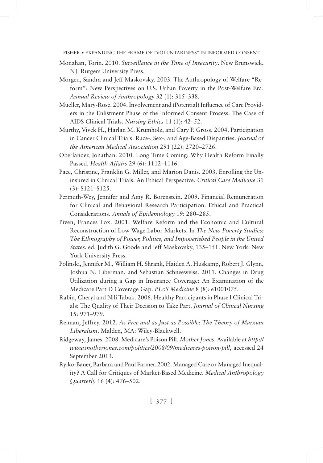- Monahan, Torin. 2010. *Surveillance in the Time of Insecurity*. New Brunswick, NJ: Rutgers University Press.
- Morgen, Sandra and Jeff Maskovsky. 2003. The Anthropology of Welfare "Reform": New Perspectives on U.S. Urban Poverty in the Post-Welfare Era. *Annual Review of Anthropology* 32 (1): 315–338.
- Mueller, Mary-Rose. 2004. Involvement and (Potential) Influence of Care Providers in the Enlistment Phase of the Informed Consent Process: The Case of AIDS Clinical Trials. *Nursing Ethics* 11 (1): 42–52.
- Murthy, Vivek H., Harlan M. Krumholz, and Cary P. Gross. 2004. Participation in Cancer Clinical Trials: Race-, Sex-, and Age-Based Disparities. *Journal of the American Medical Association* 291 (22): 2720–2726.
- Oberlander, Jonathan. 2010. Long Time Coming: Why Health Reform Finally Passed. *Health Affairs* 29 (6): 1112–1116.
- Pace, Christine, Franklin G. Miller, and Marion Danis. 2003. Enrolling the Uninsured in Clinical Trials: An Ethical Perspective. *Critical Care Medicine* 31 (3): S121–S125.
- Permuth-Wey, Jennifer and Amy R. Borenstein. 2009. Financial Remuneration for Clinical and Behavioral Research Participation: Ethical and Practical Considerations. *Annals of Epidemiology* 19: 280–285.
- Piven, Frances Fox. 2001. Welfare Reform and the Economic and Cultural Reconstruction of Low Wage Labor Markets. In *The New Poverty Studies: The Ethnography of Power, Politics, and Impoverished People in the United States*, ed. Judith G. Goode and Jeff Maskovsky, 135–151. New York: New York University Press.
- Polinski, Jennifer M., William H. Shrank, Haiden A. Huskamp, Robert J. Glynn, Joshua N. Liberman, and Sebastian Schneeweiss. 2011. Changes in Drug Utilization during a Gap in Insurance Coverage: An Examination of the Medicare Part D Coverage Gap. *PLoS Medicine* 8 (8): e1001075.
- Rabin, Cheryl and Nili Tabak. 2006. Healthy Participants in Phase I Clinical Trials: The Quality of Their Decision to Take Part. *Journal of Clinical Nursing* 15: 971–979.
- Reiman, Jeffrey. 2012. *As Free and as Just as Possible: The Theory of Marxian Liberalism*. Malden, MA: Wiley-Blackwell.
- Ridgeway, James. 2008. Medicare's Poison Pill. *Mother Jones*. Available at *http:// www.motherjones.com/politics/2008/09/medicares-poison-pill*, accessed 24 September 2013.
- Rylko-Bauer, Barbara and Paul Farmer. 2002. Managed Care or Managed Inequality? A Call for Critiques of Market-Based Medicine. *Medical Anthropology Quarterly* 16 (4): 476–502.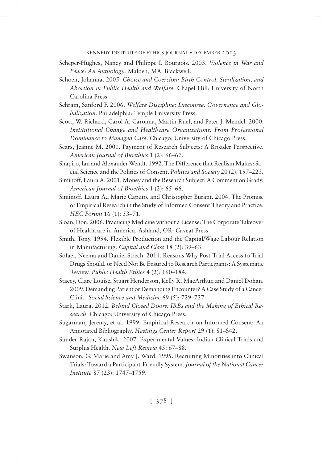- Scheper-Hughes, Nancy and Philippe I. Bourgois. 2003. *Violence in War and Peace: An Anthology*. Malden, MA: Blackwell.
- Schoen, Johanna. 2005. *Choice and Coercion: Birth Control, Sterilization, and Abortion in Public Health and Welfare*. Chapel Hill: University of North Carolina Press.
- Schram, Sanford F. 2006. *Welfare Discipline: Discourse, Governance and Globalization*. Philadelphia: Temple University Press.
- Scott, W. Richard, Carol A. Caronna, Martin Ruef, and Peter J. Mendel. 2000. *Institutional Change and Healthcare Organizations: From Professional Dominance to Managed Care*. Chicago: University of Chicago Press.
- Sears, Jeanne M. 2001. Payment of Research Subjects: A Broader Perspective. *American Journal of Bioethics* 1 (2): 66–67.
- Shapiro, Ian and Alexander Wendt. 1992. The Difference that Realism Makes: Social Science and the Politics of Consent. *Politics and Society* 20 (2): 197–223.
- Siminoff, Laura A. 2001. Money and the Research Subject: A Comment on Grady. *American Journal of Bioethics* 1 (2): 65–66.
- Siminoff, Laura A., Marie Caputo, and Christopher Burant. 2004. The Promise of Empirical Research in the Study of Informed Consent Theory and Practice. *HEC Forum* 16 (1): 53–71.
- Sloan, Don. 2006. Practicing Medicine without a License: The Corporate Takeover of Healthcare in America. Ashland, OR: Caveat Press.
- Smith, Tony. 1994. Flexible Production and the Capital/Wage Labour Relation in Manufacturing. *Capital and Class* 18 (2): 39–63.
- Sofaer, Neema and Daniel Strech. 2011. Reasons Why Post-Trial Access to Trial Drugs Should, or Need Not Be Ensured to Research Participants: A Systematic Review. *Public Health Ethics* 4 (2): 160–184.
- Stacey, Clare Louise, Stuart Henderson, Kelly R. MacArthur, and Daniel Dohan. 2009. Demanding Patient or Demanding Encounter? A Case Study of a Cancer Clinic. *Social Science and Medicine* 69 (5): 729–737.
- Stark, Laura. 2012. *Behind Closed Doors: IRBs and the Making of Ethical Research*. Chicago: University of Chicago Press.
- Sugarman, Jeremy, et al. 1999. Empirical Research on Informed Consent: An Annotated Bibliography. *Hastings Center Report* 29 (1): S1–S42.
- Sunder Rajan, Kaushik. 2007. Experimental Values: Indian Clinical Trials and Surplus Health. *New Left Review* 45: 67–88.
- Swanson, G. Marie and Amy J. Ward. 1995. Recruiting Minorities into Clinical Trials: Toward a Participant-Friendly System. *Journal of the National Cancer Institute* 87 (23): 1747–1759.